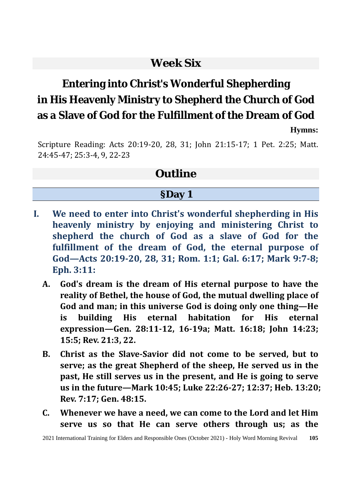### **Week Six**

# **Entering into Christ's Wonderful Shepherding in His Heavenly Ministry to Shepherd the Church of God as a Slave of God for the Fulfillment of the Dream of God**

**Hymns:**

Scripture Reading: Acts 20:19-20, 28, 31; John 21:15-17; 1 Pet. 2:25; Matt. 24:45-47; 25:3-4, 9, 22-23

# **Outline**

### **§Day 1**

- **I. We need to enter into Christ's wonderful shepherding in His heavenly ministry by enjoying and ministering Christ to shepherd the church of God as a slave of God for the fulfillment of the dream of God, the eternal purpose of God—Acts 20:19-20, 28, 31; Rom. 1:1; Gal. 6:17; Mark 9:7-8; Eph. 3:11:**
	- **A. God's dream is the dream of His eternal purpose to have the reality of Bethel, the house of God, the mutual dwelling place of God and man; in this universe God is doing only one thing—He is building His eternal habitation for His eternal expression—Gen. 28:11-12, 16-19a; Matt. 16:18; John 14:23; 15:5; Rev. 21:3, 22.**
	- **B. Christ as the Slave-Savior did not come to be served, but to serve; as the great Shepherd of the sheep, He served us in the past, He still serves us in the present, and He is going to serve us in the future—Mark 10:45; Luke 22:26-27; 12:37; Heb. 13:20; Rev. 7:17; Gen. 48:15.**
	- **C. Whenever we have a need, we can come to the Lord and let Him serve us so that He can serve others through us; as the**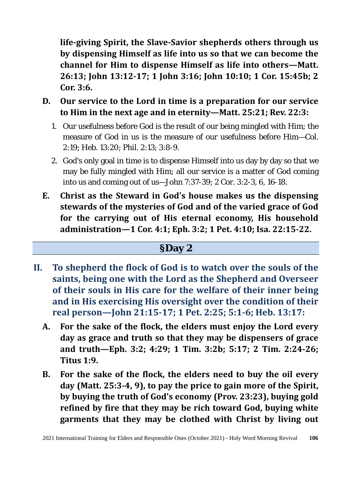**life-giving Spirit, the Slave-Savior shepherds others through us by dispensing Himself as life into us so that we can become the channel for Him to dispense Himself as life into others—Matt. 26:13; John 13:12-17; 1 John 3:16; John 10:10; 1 Cor. 15:45b; 2 Cor. 3:6.** 

- **D. Our service to the Lord in time is a preparation for our service to Him in the next age and in eternity—Matt. 25:21; Rev. 22:3:** 
	- 1. Our usefulness before God is the result of our being mingled with Him; the measure of God in us is the measure of our usefulness before Him—Col. 2:19; Heb. 13:20; Phil. 2:13; 3:8-9.
	- 2. God's only goal in time is to dispense Himself into us day by day so that we may be fully mingled with Him; all our service is a matter of God coming into us and coming out of us—John 7:37-39; 2 Cor. 3:2-3, 6, 16-18.
- **E. Christ as the Steward in God's house makes us the dispensing stewards of the mysteries of God and of the varied grace of God for the carrying out of His eternal economy, His household administration—1 Cor. 4:1; Eph. 3:2; 1 Pet. 4:10; Isa. 22:15-22.**

#### **§Day 2**

- **II. To shepherd the flock of God is to watch over the souls of the saints, being one with the Lord as the Shepherd and Overseer of their souls in His care for the welfare of their inner being and in His exercising His oversight over the condition of their real person—John 21:15-17; 1 Pet. 2:25; 5:1-6; Heb. 13:17:**
	- **A. For the sake of the flock, the elders must enjoy the Lord every day as grace and truth so that they may be dispensers of grace and truth—Eph. 3:2; 4:29; 1 Tim. 3:2b; 5:17; 2 Tim. 2:24-26; Titus 1:9.**
	- **B. For the sake of the flock, the elders need to buy the oil every day (Matt. 25:3-4, 9), to pay the price to gain more of the Spirit, by buying the truth of God's economy (Prov. 23:23), buying gold refined by fire that they may be rich toward God, buying white garments that they may be clothed with Christ by living out**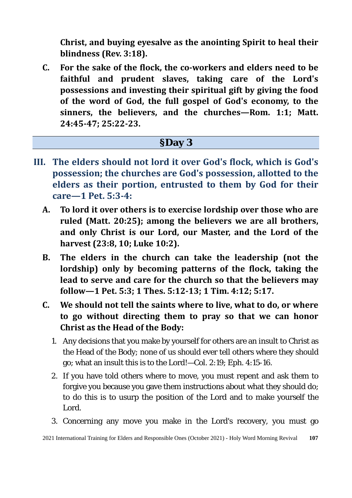**Christ, and buying eyesalve as the anointing Spirit to heal their blindness (Rev. 3:18).** 

**C. For the sake of the flock, the co-workers and elders need to be faithful and prudent slaves, taking care of the Lord's possessions and investing their spiritual gift by giving the food of the word of God, the full gospel of God's economy, to the sinners, the believers, and the churches—Rom. 1:1; Matt. 24:45-47; 25:22-23.** 

### **§Day 3**

- **III. The elders should not lord it over God's flock, which is God's possession; the churches are God's possession, allotted to the elders as their portion, entrusted to them by God for their care—1 Pet. 5:3-4:** 
	- **A. To lord it over others is to exercise lordship over those who are ruled (Matt. 20:25); among the believers we are all brothers, and only Christ is our Lord, our Master, and the Lord of the harvest (23:8, 10; Luke 10:2).**
	- **B. The elders in the church can take the leadership (not the lordship) only by becoming patterns of the flock, taking the lead to serve and care for the church so that the believers may follow—1 Pet. 5:3; 1 Thes. 5:12-13; 1 Tim. 4:12; 5:17.**
	- **C. We should not tell the saints where to live, what to do, or where to go without directing them to pray so that we can honor Christ as the Head of the Body:**
		- 1. Any decisions that you make by yourself for others are an insult to Christ as the Head of the Body; none of us should ever tell others where they should go; what an insult this is to the Lord!—Col. 2:19; Eph. 4:15-16.
		- 2. If you have told others where to move, you must repent and ask them to forgive you because you gave them instructions about what they should do; to do this is to usurp the position of the Lord and to make yourself the Lord.
		- 3. Concerning any move you make in the Lord's recovery, you must go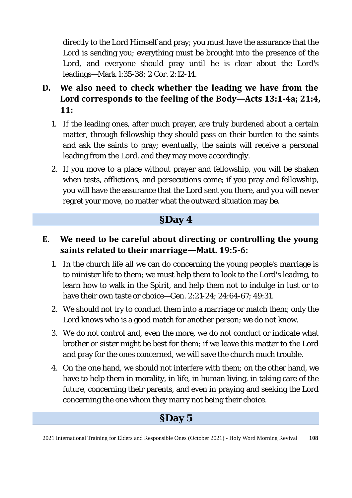directly to the Lord Himself and pray; you must have the assurance that the Lord is sending you; everything must be brought into the presence of the Lord, and everyone should pray until he is clear about the Lord's leadings—Mark 1:35-38; 2 Cor. 2:12-14.

- **D. We also need to check whether the leading we have from the Lord corresponds to the feeling of the Body—Acts 13:1-4a; 21:4, 11:** 
	- 1. If the leading ones, after much prayer, are truly burdened about a certain matter, through fellowship they should pass on their burden to the saints and ask the saints to pray; eventually, the saints will receive a personal leading from the Lord, and they may move accordingly.
	- 2. If you move to a place without prayer and fellowship, you will be shaken when tests, afflictions, and persecutions come; if you pray and fellowship, you will have the assurance that the Lord sent you there, and you will never regret your move, no matter what the outward situation may be.

### **§Day 4**

#### **E. We need to be careful about directing or controlling the young saints related to their marriage—Matt. 19:5-6:**

- 1. In the church life all we can do concerning the young people's marriage is to minister life to them; we must help them to look to the Lord's leading, to learn how to walk in the Spirit, and help them not to indulge in lust or to have their own taste or choice—Gen. 2:21-24; 24:64-67; 49:31.
- 2. We should not try to conduct them into a marriage or match them; only the Lord knows who is a good match for another person; we do not know.
- 3. We do not control and, even the more, we do not conduct or indicate what brother or sister might be best for them; if we leave this matter to the Lord and pray for the ones concerned, we will save the church much trouble.
- 4. On the one hand, we should not interfere with them; on the other hand, we have to help them in morality, in life, in human living, in taking care of the future, concerning their parents, and even in praying and seeking the Lord concerning the one whom they marry not being their choice.

### **§Day 5**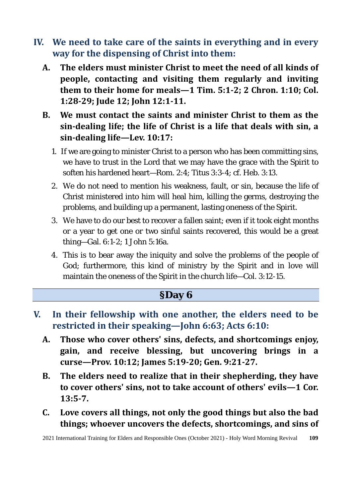- **IV. We need to take care of the saints in everything and in every way for the dispensing of Christ into them:**
	- **A. The elders must minister Christ to meet the need of all kinds of people, contacting and visiting them regularly and inviting them to their home for meals—1 Tim. 5:1-2; 2 Chron. 1:10; Col. 1:28-29; Jude 12; John 12:1-11.**
	- **B. We must contact the saints and minister Christ to them as the sin-dealing life; the life of Christ is a life that deals with sin, a sin-dealing life—Lev. 10:17:** 
		- 1. If we are going to minister Christ to a person who has been committing sins, we have to trust in the Lord that we may have the grace with the Spirit to soften his hardened heart—Rom. 2:4; Titus 3:3-4; cf. Heb. 3:13.
		- 2. We do not need to mention his weakness, fault, or sin, because the life of Christ ministered into him will heal him, killing the germs, destroying the problems, and building up a permanent, lasting oneness of the Spirit.
		- 3. We have to do our best to recover a fallen saint; even if it took eight months or a year to get one or two sinful saints recovered, this would be a great thing—Gal. 6:1-2; 1 John 5:16a.
		- 4. This is to bear away the iniquity and solve the problems of the people of God; furthermore, this kind of ministry by the Spirit and in love will maintain the oneness of the Spirit in the church life—Col. 3:12-15.

### **§Day 6**

- **V. In their fellowship with one another, the elders need to be restricted in their speaking—John 6:63; Acts 6:10:**
	- **A. Those who cover others' sins, defects, and shortcomings enjoy, gain, and receive blessing, but uncovering brings in a curse—Prov. 10:12; James 5:19-20; Gen. 9:21-27.**
	- **B. The elders need to realize that in their shepherding, they have to cover others' sins, not to take account of others' evils—1 Cor. 13:5-7.**
	- **C. Love covers all things, not only the good things but also the bad things; whoever uncovers the defects, shortcomings, and sins of**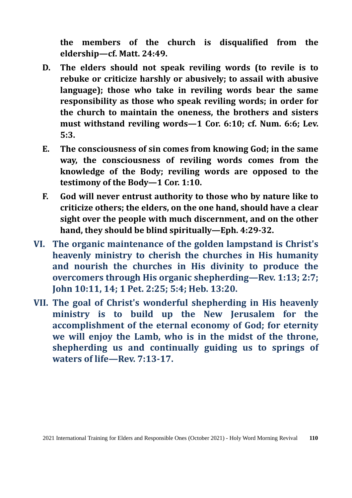**the members of the church is disqualified from the eldership—cf. Matt. 24:49.** 

- **D. The elders should not speak reviling words (to revile is to rebuke or criticize harshly or abusively; to assail with abusive language); those who take in reviling words bear the same responsibility as those who speak reviling words; in order for the church to maintain the oneness, the brothers and sisters must withstand reviling words—1 Cor. 6:10; cf. Num. 6:6; Lev. 5:3.**
- **E. The consciousness of sin comes from knowing God; in the same way, the consciousness of reviling words comes from the knowledge of the Body; reviling words are opposed to the testimony of the Body—1 Cor. 1:10.**
- **F. God will never entrust authority to those who by nature like to criticize others; the elders, on the one hand, should have a clear sight over the people with much discernment, and on the other hand, they should be blind spiritually—Eph. 4:29-32.**
- **VI. The organic maintenance of the golden lampstand is Christ's heavenly ministry to cherish the churches in His humanity and nourish the churches in His divinity to produce the overcomers through His organic shepherding—Rev. 1:13; 2:7; John 10:11, 14; 1 Pet. 2:25; 5:4; Heb. 13:20.**
- **VII. The goal of Christ's wonderful shepherding in His heavenly ministry is to build up the New Jerusalem for the accomplishment of the eternal economy of God; for eternity we will enjoy the Lamb, who is in the midst of the throne, shepherding us and continually guiding us to springs of waters of life—Rev. 7:13-17.**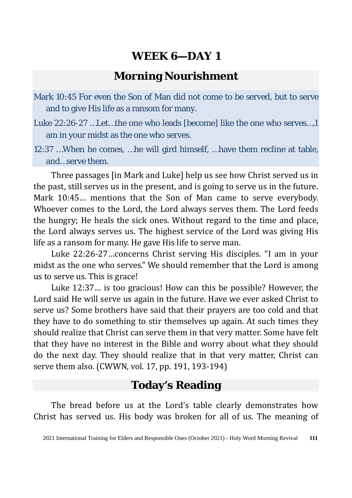#### **Morning Nourishment**

- Mark 10:45 For even the Son of Man did not come to be served, but to serve and to give His life as a ransom for many.
- Luke 22:26-27 …Let…the one who leads [become] like the one who serves….I am in your midst as the one who serves.
- 12:37 …When he comes, …he will gird himself, …have them recline at table, and…serve them.

Three passages [in Mark and Luke] help us see how Christ served us in the past, still serves us in the present, and is going to serve us in the future. Mark 10:45… mentions that the Son of Man came to serve everybody. Whoever comes to the Lord, the Lord always serves them. The Lord feeds the hungry; He heals the sick ones. Without regard to the time and place, the Lord always serves us. The highest service of the Lord was giving His life as a ransom for many. He gave His life to serve man.

Luke 22:26-27…concerns Christ serving His disciples. "I am in your midst as the one who serves." We should remember that the Lord is among us to serve us. This is grace!

Luke 12:37… is too gracious! How can this be possible? However, the Lord said He will serve us again in the future. Have we ever asked Christ to serve us? Some brothers have said that their prayers are too cold and that they have to do something to stir themselves up again. At such times they should realize that Christ can serve them in that very matter. Some have felt that they have no interest in the Bible and worry about what they should do the next day. They should realize that in that very matter, Christ can serve them also. (CWWN, vol. 17, pp. 191, 193-194)

### **Today's Reading**

The bread before us at the Lord's table clearly demonstrates how Christ has served us. His body was broken for all of us. The meaning of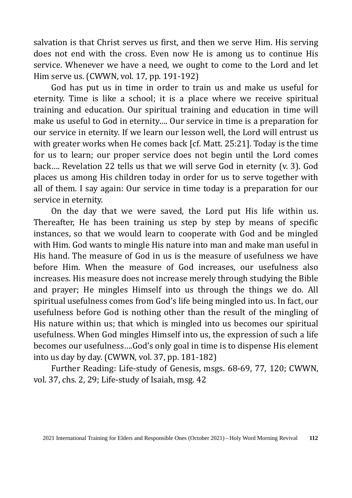salvation is that Christ serves us first, and then we serve Him. His serving does not end with the cross. Even now He is among us to continue His service. Whenever we have a need, we ought to come to the Lord and let Him serve us. (CWWN, vol. 17, pp. 191-192)

God has put us in time in order to train us and make us useful for eternity. Time is like a school; it is a place where we receive spiritual training and education. Our spiritual training and education in time will make us useful to God in eternity…. Our service in time is a preparation for our service in eternity. If we learn our lesson well, the Lord will entrust us with greater works when He comes back [cf. Matt. 25:21]. Today is the time for us to learn; our proper service does not begin until the Lord comes back…. Revelation 22 tells us that we will serve God in eternity (v. 3). God places us among His children today in order for us to serve together with all of them. I say again: Our service in time today is a preparation for our service in eternity.

On the day that we were saved, the Lord put His life within us. Thereafter, He has been training us step by step by means of specific instances, so that we would learn to cooperate with God and be mingled with Him. God wants to mingle His nature into man and make man useful in His hand. The measure of God in us is the measure of usefulness we have before Him. When the measure of God increases, our usefulness also increases. His measure does not increase merely through studying the Bible and prayer; He mingles Himself into us through the things we do. All spiritual usefulness comes from God's life being mingled into us. In fact, our usefulness before God is nothing other than the result of the mingling of His nature within us; that which is mingled into us becomes our spiritual usefulness. When God mingles Himself into us, the expression of such a life becomes our usefulness….God's only goal in time is to dispense His element into us day by day. (CWWN, vol. 37, pp. 181-182)

Further Reading: Life-study of Genesis, msgs. 68-69, 77, 120; CWWN, vol. 37, chs. 2, 29; Life-study of Isaiah, msg. 42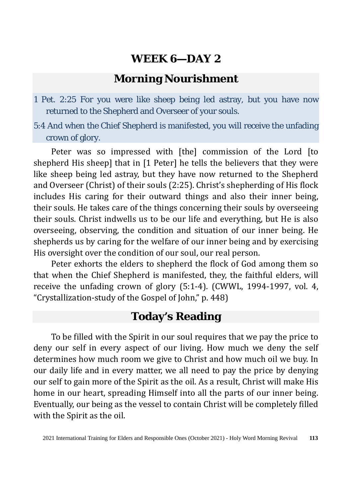### **Morning Nourishment**

- 1 Pet. 2:25 For you were like sheep being led astray, but you have now returned to the Shepherd and Overseer of your souls.
- 5:4 And when the Chief Shepherd is manifested, you will receive the unfading crown of glory.

Peter was so impressed with [the] commission of the Lord [to shepherd His sheep] that in [1 Peter] he tells the believers that they were like sheep being led astray, but they have now returned to the Shepherd and Overseer (Christ) of their souls (2:25). Christ's shepherding of His flock includes His caring for their outward things and also their inner being, their souls. He takes care of the things concerning their souls by overseeing their souls. Christ indwells us to be our life and everything, but He is also overseeing, observing, the condition and situation of our inner being. He shepherds us by caring for the welfare of our inner being and by exercising His oversight over the condition of our soul, our real person.

Peter exhorts the elders to shepherd the flock of God among them so that when the Chief Shepherd is manifested, they, the faithful elders, will receive the unfading crown of glory (5:1-4). (CWWL, 1994-1997, vol. 4, "Crystallization-study of the Gospel of John," p. 448)

### **Today's Reading**

To be filled with the Spirit in our soul requires that we pay the price to deny our self in every aspect of our living. How much we deny the self determines how much room we give to Christ and how much oil we buy. In our daily life and in every matter, we all need to pay the price by denying our self to gain more of the Spirit as the oil. As a result, Christ will make His home in our heart, spreading Himself into all the parts of our inner being. Eventually, our being as the vessel to contain Christ will be completely filled with the Spirit as the oil.

<sup>2021</sup> International Training for Elders and Responsible Ones (October 2021) - Holy Word Morning Revival **113**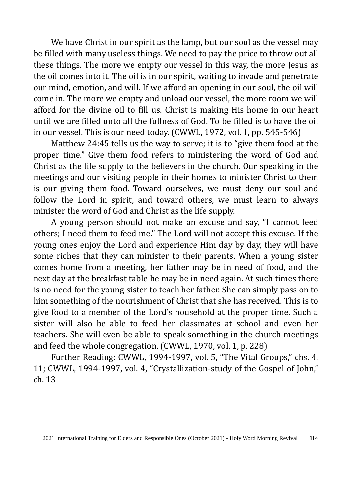We have Christ in our spirit as the lamp, but our soul as the vessel may be filled with many useless things. We need to pay the price to throw out all these things. The more we empty our vessel in this way, the more Jesus as the oil comes into it. The oil is in our spirit, waiting to invade and penetrate our mind, emotion, and will. If we afford an opening in our soul, the oil will come in. The more we empty and unload our vessel, the more room we will afford for the divine oil to fill us. Christ is making His home in our heart until we are filled unto all the fullness of God. To be filled is to have the oil in our vessel. This is our need today. (CWWL, 1972, vol. 1, pp. 545-546)

Matthew 24:45 tells us the way to serve; it is to "give them food at the proper time." Give them food refers to ministering the word of God and Christ as the life supply to the believers in the church. Our speaking in the meetings and our visiting people in their homes to minister Christ to them is our giving them food. Toward ourselves, we must deny our soul and follow the Lord in spirit, and toward others, we must learn to always minister the word of God and Christ as the life supply.

A young person should not make an excuse and say, "I cannot feed others; I need them to feed me." The Lord will not accept this excuse. If the young ones enjoy the Lord and experience Him day by day, they will have some riches that they can minister to their parents. When a young sister comes home from a meeting, her father may be in need of food, and the next day at the breakfast table he may be in need again. At such times there is no need for the young sister to teach her father. She can simply pass on to him something of the nourishment of Christ that she has received. This is to give food to a member of the Lord's household at the proper time. Such a sister will also be able to feed her classmates at school and even her teachers. She will even be able to speak something in the church meetings and feed the whole congregation. (CWWL, 1970, vol. 1, p. 228)

Further Reading: CWWL, 1994-1997, vol. 5, "The Vital Groups," chs. 4, 11; CWWL, 1994-1997, vol. 4, "Crystallization-study of the Gospel of John," ch. 13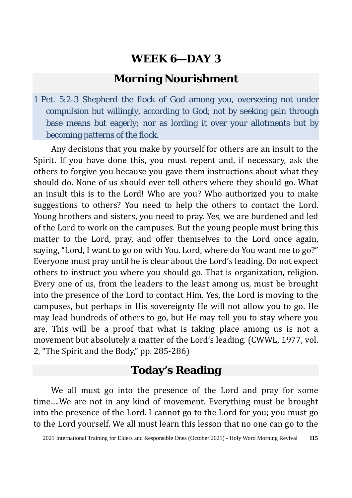### **Morning Nourishment**

1 Pet. 5:2-3 Shepherd the flock of God among you, overseeing not under compulsion but willingly, according to God; not by seeking gain through base means but eagerly; nor as lording it over your allotments but by becoming patterns of the flock.

Any decisions that you make by yourself for others are an insult to the Spirit. If you have done this, you must repent and, if necessary, ask the others to forgive you because you gave them instructions about what they should do. None of us should ever tell others where they should go. What an insult this is to the Lord! Who are you? Who authorized you to make suggestions to others? You need to help the others to contact the Lord. Young brothers and sisters, you need to pray. Yes, we are burdened and led of the Lord to work on the campuses. But the young people must bring this matter to the Lord, pray, and offer themselves to the Lord once again, saying, "Lord, I want to go on with You. Lord, where do You want me to go?" Everyone must pray until he is clear about the Lord's leading. Do not expect others to instruct you where you should go. That is organization, religion. Every one of us, from the leaders to the least among us, must be brought into the presence of the Lord to contact Him. Yes, the Lord is moving to the campuses, but perhaps in His sovereignty He will not allow you to go. He may lead hundreds of others to go, but He may tell you to stay where you are. This will be a proof that what is taking place among us is not a movement but absolutely a matter of the Lord's leading. (CWWL, 1977, vol. 2, "The Spirit and the Body," pp. 285-286)

### **Today's Reading**

We all must go into the presence of the Lord and pray for some time….We are not in any kind of movement. Everything must be brought into the presence of the Lord. I cannot go to the Lord for you; you must go to the Lord yourself. We all must learn this lesson that no one can go to the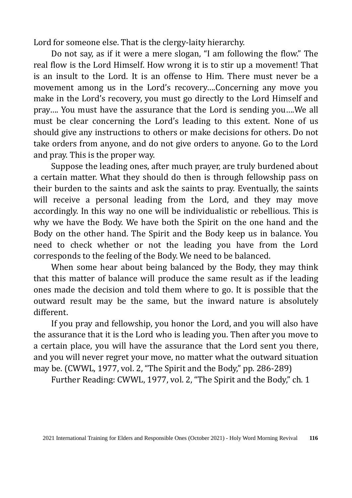Lord for someone else. That is the clergy-laity hierarchy.

Do not say, as if it were a mere slogan, "I am following the flow." The real flow is the Lord Himself. How wrong it is to stir up a movement! That is an insult to the Lord. It is an offense to Him. There must never be a movement among us in the Lord's recovery….Concerning any move you make in the Lord's recovery, you must go directly to the Lord Himself and pray…. You must have the assurance that the Lord is sending you….We all must be clear concerning the Lord's leading to this extent. None of us should give any instructions to others or make decisions for others. Do not take orders from anyone, and do not give orders to anyone. Go to the Lord and pray. This is the proper way.

Suppose the leading ones, after much prayer, are truly burdened about a certain matter. What they should do then is through fellowship pass on their burden to the saints and ask the saints to pray. Eventually, the saints will receive a personal leading from the Lord, and they may move accordingly. In this way no one will be individualistic or rebellious. This is why we have the Body. We have both the Spirit on the one hand and the Body on the other hand. The Spirit and the Body keep us in balance. You need to check whether or not the leading you have from the Lord corresponds to the feeling of the Body. We need to be balanced.

When some hear about being balanced by the Body, they may think that this matter of balance will produce the same result as if the leading ones made the decision and told them where to go. It is possible that the outward result may be the same, but the inward nature is absolutely different.

If you pray and fellowship, you honor the Lord, and you will also have the assurance that it is the Lord who is leading you. Then after you move to a certain place, you will have the assurance that the Lord sent you there, and you will never regret your move, no matter what the outward situation may be. (CWWL, 1977, vol. 2, "The Spirit and the Body," pp. 286-289)

Further Reading: CWWL, 1977, vol. 2, "The Spirit and the Body," ch. 1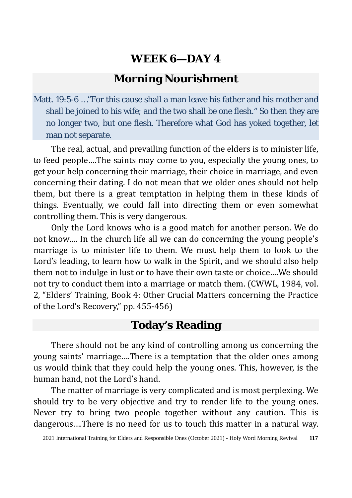### **Morning Nourishment**

Matt. 19:5-6 …"For this cause shall a man leave his father and his mother and shall be joined to his wife; and the two shall be one flesh." So then they are no longer two, but one flesh. Therefore what God has yoked together, let man not separate.

The real, actual, and prevailing function of the elders is to minister life, to feed people….The saints may come to you, especially the young ones, to get your help concerning their marriage, their choice in marriage, and even concerning their dating. I do not mean that we older ones should not help them, but there is a great temptation in helping them in these kinds of things. Eventually, we could fall into directing them or even somewhat controlling them. This is very dangerous.

Only the Lord knows who is a good match for another person. We do not know…. In the church life all we can do concerning the young people's marriage is to minister life to them. We must help them to look to the Lord's leading, to learn how to walk in the Spirit, and we should also help them not to indulge in lust or to have their own taste or choice….We should not try to conduct them into a marriage or match them. (CWWL, 1984, vol. 2, "Elders' Training, Book 4: Other Crucial Matters concerning the Practice of the Lord's Recovery," pp. 455-456)

### **Today's Reading**

There should not be any kind of controlling among us concerning the young saints' marriage….There is a temptation that the older ones among us would think that they could help the young ones. This, however, is the human hand, not the Lord's hand.

The matter of marriage is very complicated and is most perplexing. We should try to be very objective and try to render life to the young ones. Never try to bring two people together without any caution. This is dangerous….There is no need for us to touch this matter in a natural way.

<sup>2021</sup> International Training for Elders and Responsible Ones (October 2021) - Holy Word Morning Revival **117**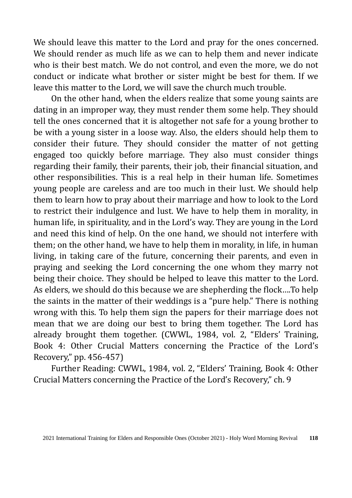We should leave this matter to the Lord and pray for the ones concerned. We should render as much life as we can to help them and never indicate who is their best match. We do not control, and even the more, we do not conduct or indicate what brother or sister might be best for them. If we leave this matter to the Lord, we will save the church much trouble.

On the other hand, when the elders realize that some young saints are dating in an improper way, they must render them some help. They should tell the ones concerned that it is altogether not safe for a young brother to be with a young sister in a loose way. Also, the elders should help them to consider their future. They should consider the matter of not getting engaged too quickly before marriage. They also must consider things regarding their family, their parents, their job, their financial situation, and other responsibilities. This is a real help in their human life. Sometimes young people are careless and are too much in their lust. We should help them to learn how to pray about their marriage and how to look to the Lord to restrict their indulgence and lust. We have to help them in morality, in human life, in spirituality, and in the Lord's way. They are young in the Lord and need this kind of help. On the one hand, we should not interfere with them; on the other hand, we have to help them in morality, in life, in human living, in taking care of the future, concerning their parents, and even in praying and seeking the Lord concerning the one whom they marry not being their choice. They should be helped to leave this matter to the Lord. As elders, we should do this because we are shepherding the flock….To help the saints in the matter of their weddings is a "pure help." There is nothing wrong with this. To help them sign the papers for their marriage does not mean that we are doing our best to bring them together. The Lord has already brought them together. (CWWL, 1984, vol. 2, "Elders' Training, Book 4: Other Crucial Matters concerning the Practice of the Lord's Recovery," pp. 456-457)

Further Reading: CWWL, 1984, vol. 2, "Elders' Training, Book 4: Other Crucial Matters concerning the Practice of the Lord's Recovery," ch. 9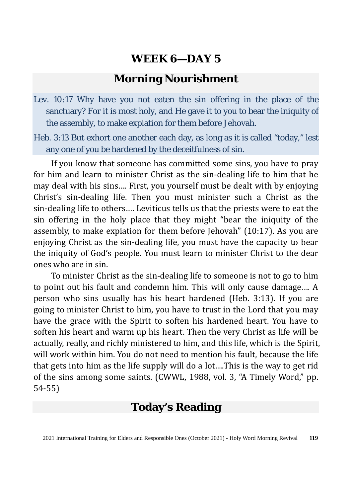### **Morning Nourishment**

Lev. 10:17 Why have you not eaten the sin offering in the place of the sanctuary? For it is most holy, and He gave it to you to bear the iniquity of the assembly, to make expiation for them before Jehovah.

Heb. 3:13 But exhort one another each day, as long as it is called "today," lest any one of you be hardened by the deceitfulness of sin.

If you know that someone has committed some sins, you have to pray for him and learn to minister Christ as the sin-dealing life to him that he may deal with his sins…. First, you yourself must be dealt with by enjoying Christ's sin-dealing life. Then you must minister such a Christ as the sin-dealing life to others…. Leviticus tells us that the priests were to eat the sin offering in the holy place that they might "bear the iniquity of the assembly, to make expiation for them before Jehovah" (10:17). As you are enjoying Christ as the sin-dealing life, you must have the capacity to bear the iniquity of God's people. You must learn to minister Christ to the dear ones who are in sin.

To minister Christ as the sin-dealing life to someone is not to go to him to point out his fault and condemn him. This will only cause damage…. A person who sins usually has his heart hardened (Heb. 3:13). If you are going to minister Christ to him, you have to trust in the Lord that you may have the grace with the Spirit to soften his hardened heart. You have to soften his heart and warm up his heart. Then the very Christ as life will be actually, really, and richly ministered to him, and this life, which is the Spirit, will work within him. You do not need to mention his fault, because the life that gets into him as the life supply will do a lot….This is the way to get rid of the sins among some saints. (CWWL, 1988, vol. 3, "A Timely Word," pp. 54-55)

# **Today's Reading**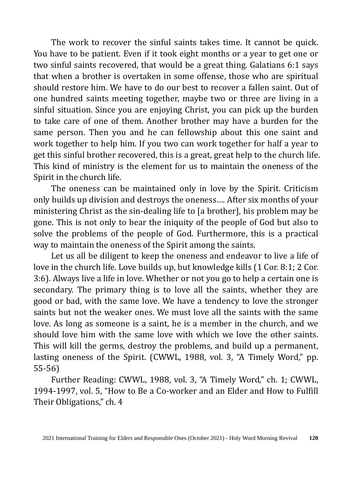The work to recover the sinful saints takes time. It cannot be quick. You have to be patient. Even if it took eight months or a year to get one or two sinful saints recovered, that would be a great thing. Galatians 6:1 says that when a brother is overtaken in some offense, those who are spiritual should restore him. We have to do our best to recover a fallen saint. Out of one hundred saints meeting together, maybe two or three are living in a sinful situation. Since you are enjoying Christ, you can pick up the burden to take care of one of them. Another brother may have a burden for the same person. Then you and he can fellowship about this one saint and work together to help him. If you two can work together for half a year to get this sinful brother recovered, this is a great, great help to the church life. This kind of ministry is the element for us to maintain the oneness of the Spirit in the church life.

The oneness can be maintained only in love by the Spirit. Criticism only builds up division and destroys the oneness…. After six months of your ministering Christ as the sin-dealing life to [a brother], his problem may be gone. This is not only to bear the iniquity of the people of God but also to solve the problems of the people of God. Furthermore, this is a practical way to maintain the oneness of the Spirit among the saints.

Let us all be diligent to keep the oneness and endeavor to live a life of love in the church life. Love builds up, but knowledge kills (1 Cor. 8:1; 2 Cor. 3:6). Always live a life in love. Whether or not you go to help a certain one is secondary. The primary thing is to love all the saints, whether they are good or bad, with the same love. We have a tendency to love the stronger saints but not the weaker ones. We must love all the saints with the same love. As long as someone is a saint, he is a member in the church, and we should love him with the same love with which we love the other saints. This will kill the germs, destroy the problems, and build up a permanent, lasting oneness of the Spirit. (CWWL, 1988, vol. 3, "A Timely Word," pp. 55-56)

Further Reading: CWWL, 1988, vol. 3, "A Timely Word," ch. 1; CWWL, 1994-1997, vol. 5, "How to Be a Co-worker and an Elder and How to Fulfill Their Obligations," ch. 4

<sup>2021</sup> International Training for Elders and Responsible Ones (October 2021) - Holy Word Morning Revival **120**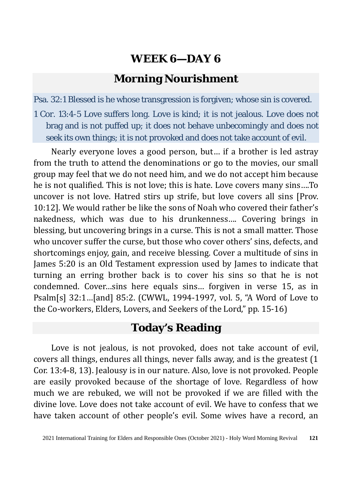### **Morning Nourishment**

Psa. 32:1 Blessed is he whose transgression is forgiven; whose sin is covered.

1 Cor. 13:4-5 Love suffers long. Love is kind; it is not jealous. Love does not brag and is not puffed up; it does not behave unbecomingly and does not seek its own things; it is not provoked and does not take account of evil.

Nearly everyone loves a good person, but… if a brother is led astray from the truth to attend the denominations or go to the movies, our small group may feel that we do not need him, and we do not accept him because he is not qualified. This is not love; this is hate. Love covers many sins….To uncover is not love. Hatred stirs up strife, but love covers all sins [Prov. 10:12]. We would rather be like the sons of Noah who covered their father's nakedness, which was due to his drunkenness…. Covering brings in blessing, but uncovering brings in a curse. This is not a small matter. Those who uncover suffer the curse, but those who cover others' sins, defects, and shortcomings enjoy, gain, and receive blessing. Cover a multitude of sins in James 5:20 is an Old Testament expression used by James to indicate that turning an erring brother back is to cover his sins so that he is not condemned. Cover…sins here equals sins… forgiven in verse 15, as in Psalm[s] 32:1…[and] 85:2. (CWWL, 1994-1997, vol. 5, "A Word of Love to the Co-workers, Elders, Lovers, and Seekers of the Lord," pp. 15-16)

### **Today's Reading**

Love is not jealous, is not provoked, does not take account of evil, covers all things, endures all things, never falls away, and is the greatest (1 Cor. 13:4-8, 13). Jealousy is in our nature. Also, love is not provoked. People are easily provoked because of the shortage of love. Regardless of how much we are rebuked, we will not be provoked if we are filled with the divine love. Love does not take account of evil. We have to confess that we have taken account of other people's evil. Some wives have a record, an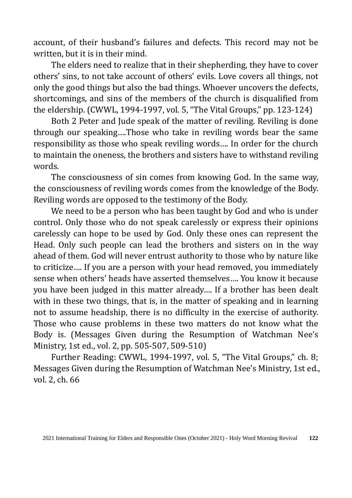account, of their husband's failures and defects. This record may not be written, but it is in their mind.

The elders need to realize that in their shepherding, they have to cover others' sins, to not take account of others' evils. Love covers all things, not only the good things but also the bad things. Whoever uncovers the defects, shortcomings, and sins of the members of the church is disqualified from the eldership. (CWWL, 1994-1997, vol. 5, "The Vital Groups," pp. 123-124)

Both 2 Peter and Jude speak of the matter of reviling. Reviling is done through our speaking….Those who take in reviling words bear the same responsibility as those who speak reviling words…. In order for the church to maintain the oneness, the brothers and sisters have to withstand reviling words.

The consciousness of sin comes from knowing God. In the same way, the consciousness of reviling words comes from the knowledge of the Body. Reviling words are opposed to the testimony of the Body.

We need to be a person who has been taught by God and who is under control. Only those who do not speak carelessly or express their opinions carelessly can hope to be used by God. Only these ones can represent the Head. Only such people can lead the brothers and sisters on in the way ahead of them. God will never entrust authority to those who by nature like to criticize…. If you are a person with your head removed, you immediately sense when others' heads have asserted themselves…. You know it because you have been judged in this matter already…. If a brother has been dealt with in these two things, that is, in the matter of speaking and in learning not to assume headship, there is no difficulty in the exercise of authority. Those who cause problems in these two matters do not know what the Body is. (Messages Given during the Resumption of Watchman Nee's Ministry, 1st ed., vol. 2, pp. 505-507, 509-510)

Further Reading: CWWL, 1994-1997, vol. 5, "The Vital Groups," ch. 8; Messages Given during the Resumption of Watchman Nee's Ministry, 1st ed., vol. 2, ch. 66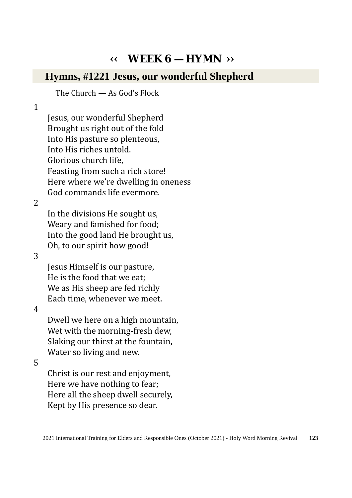# **‹‹ WEEK 6 — HYMN ››**

# **Hymns, #1221 Jesus, our wonderful Shepherd**

The Church — As God's Flock

1

Jesus, our wonderful Shepherd Brought us right out of the fold Into His pasture so plenteous, Into His riches untold. Glorious church life, Feasting from such a rich store! Here where we're dwelling in oneness God commands life evermore.

2

In the divisions He sought us, Weary and famished for food; Into the good land He brought us, Oh, to our spirit how good!

3

 Jesus Himself is our pasture, He is the food that we eat; We as His sheep are fed richly Each time, whenever we meet.

4

 Dwell we here on a high mountain, Wet with the morning-fresh dew. Slaking our thirst at the fountain, Water so living and new.

5

Christ is our rest and enjoyment, Here we have nothing to fear; Here all the sheep dwell securely, Kept by His presence so dear.